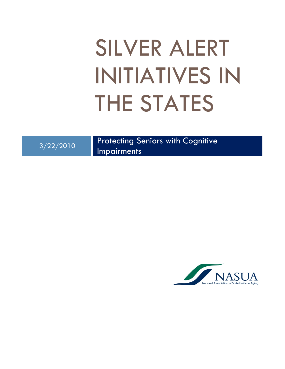# SILVER ALERT INITIATIVES IN THE STATES

3/22/2010 Protecting Seniors with Cognitive

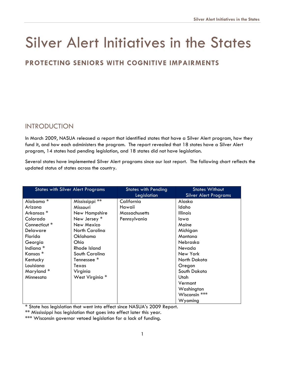# Silver Alert Initiatives in the States

# **PROTECTING SENIORS WITH COGNITIVE IMPAIRMENTS**

# **INTRODUCTION**

In March 2009, NASUA released a report that identified states that have a Silver Alert program, how they fund it, and how each administers the program. The report revealed that 18 states have a Silver Alert program, 14 states had pending legislation, and 18 states did not have legislation.

Several states have implemented Silver Alert programs since our last report. The following chart reflects the updated status of states across the country.

| <b>States with Silver Alert Programs</b> |                        | <b>States with Pending</b><br>Legislation | <b>States Without</b><br><b>Silver Alert Programs</b> |
|------------------------------------------|------------------------|-------------------------------------------|-------------------------------------------------------|
| Alabama <sup>*</sup>                     | Mississippi **         | California                                | Alaska                                                |
| Arizona                                  | Missouri               | Hawaii                                    | Idaho                                                 |
| Arkansas <sup>*</sup>                    | New Hampshire          | Massachusetts                             | <b>Illinois</b>                                       |
| Colorado                                 | New Jersey *           | Pennsylvania                              | lowa                                                  |
| Connecticut <sup>*</sup>                 | New Mexico             |                                           | Maine                                                 |
| Delaware                                 | North Carolina         |                                           | Michigan                                              |
| Florida                                  | Oklahoma               |                                           | Montana                                               |
| Georgia                                  | Ohio                   |                                           | Nebraska                                              |
| Indiana <sup>*</sup>                     | Rhode Island           |                                           | Nevada                                                |
| Kansas <sup>*</sup>                      | South Carolina         |                                           | New York                                              |
| Kentucky                                 | Tennessee <sup>*</sup> |                                           | North Dakota                                          |
| Louisiana                                | Texas                  |                                           | Oregon                                                |
| Maryland*                                | Virginia               |                                           | South Dakota                                          |
| Minnesota                                | West Virginia *        |                                           | Utah                                                  |
|                                          |                        |                                           | Vermont                                               |
|                                          |                        |                                           | Washington                                            |
|                                          |                        |                                           | Wisconsin ***                                         |
|                                          |                        |                                           | Wyoming                                               |

\* State has legislation that went into effect since NASUA's 2009 Report.

\*\* Mississippi has legislation that goes into effect later this year.

\*\*\* Wisconsin governor vetoed legislation for a lack of funding.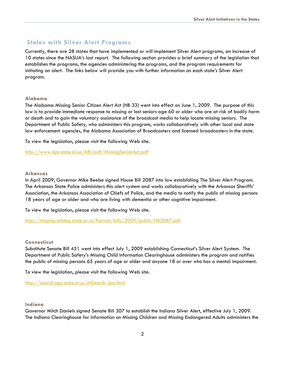### **States with Silver Alert Programs**

Currently, there are 28 states that have implemented or will implement Silver Alert programs, an increase of 10 states since the NASUA's last report. The following section provides a brief summary of the legislation that establishes the programs, the agencies administering the programs, and the program requirements for initiating an alert. The links below will provide you with further information on each state's Silver Alert program.

#### **Alabama**

The Alabama Missing Senior Citizen Alert Act (HB 33) went into effect on June 1, 2009. The purpose of this law is to provide immediate response to missing or lost seniors age 60 or older who are at risk of bodily harm or death and to gain the voluntary assistance of the broadcast media to help locate missing seniors. The Department of Public Safety, who administers this program, works collaboratively with other local and state law enforcement agencies, the Alabama Association of Broadcasters and licensed broadcasters in the state.

To view the legislation, please visit the following Web site.

<http://www.dps.state.al.us/ABI/pdf/MissingSeniorAct.pdf>

#### **Arkansas**

In April 2009, Governor Mike Beebe signed House Bill 2087 into law establishing The Silver Alert Program. The Arkansas State Police administers this alert system and works collaboratively with the Arkansas Sheriffs' Association, the Arkansas Association of Chiefs of Police, and the media to notify the public of missing persons 18 years of age or older and who are living with dementia or other cognitive impairment.

To view the legislation, please visit the following Web site.

<http://staging.arkleg.state.ar.us/ftproot/bills/2009/public/HB2087.pdf>

#### **Connecticut**

Substitute Senate Bill 451 went into effect July 1, 2009 establishing Connecticut's Silver Alert System. The Department of Public Safety's Missing Child Information Clearinghouse administers the program and notifies the public of missing persons 65 years of age or older and anyone 18 or over who has a mental impairment.

To view the legislation, please visit the following Web site.

[http://search.cga.state.ct.us/dtSearch\\_lpa.html](http://search.cga.state.ct.us/dtSearch_lpa.html) 

#### **Indiana**

Governor Mitch Daniels signed Senate Bill 307 to establish the Indiana Silver Alert, effective July 1, 2009. The Indiana Clearinghouse for Information on Missing Children and Missing Endangered Adults administers the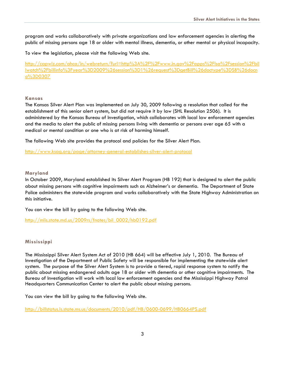program and works collaboratively with private organizations and law enforcement agencies in alerting the public of missing persons age 18 or older with mental illness, dementia, or other mental or physical incapacity.

To view the legislation, please visit the following Web site.

[http://capwiz.com/ahca/in/webreturn/?url=http%3A%2F%2Fwww.in.gov%2Fapps%2Flsa%2Fsession%2Fbil](http://capwiz.com/ahca/in/webreturn/?url=http%3A%2F%2Fwww.in.gov%2Fapps%2Flsa%2Fsession%2Fbillwatch%2Fbillinfo%3Fyear%3D2009%26session%3D1%26request%3DgetBill%26doctype%3DSB%26docno%3D0307) [lwatch%2Fbillinfo%3Fyear%3D2009%26session%3D1%26request%3DgetBill%26doctype%3DSB%26docn](http://capwiz.com/ahca/in/webreturn/?url=http%3A%2F%2Fwww.in.gov%2Fapps%2Flsa%2Fsession%2Fbillwatch%2Fbillinfo%3Fyear%3D2009%26session%3D1%26request%3DgetBill%26doctype%3DSB%26docno%3D0307) [o%3D0307](http://capwiz.com/ahca/in/webreturn/?url=http%3A%2F%2Fwww.in.gov%2Fapps%2Flsa%2Fsession%2Fbillwatch%2Fbillinfo%3Fyear%3D2009%26session%3D1%26request%3DgetBill%26doctype%3DSB%26docno%3D0307)

#### **Kansas**

The Kansas Silver Alert Plan was implemented on July 30, 2009 following a resolution that called for the establishment of this senior alert system, but did not require it by law (SHL Resolution 2506). It is administered by the Kansas Bureau of Investigation, which collaborates with local law enforcement agencies and the media to alert the public of missing persons living with dementia or persons over age 65 with a medical or mental condition or one who is at risk of harming himself.

The following Web site provides the protocol and policies for the Silver Alert Plan.

<http://www.ksag.org/page/attorney-general-establishes-silver-alert-protocol>

#### **Maryland**

In October 2009, Maryland established its Silver Alert Program (HB 192) that is designed to alert the public about missing persons with cognitive impairments such as Alzheimer's or dementia. The Department of State Police administers the statewide program and works collaboratively with the State Highway Administration on this initiative.

You can view the bill by going to the following Web site.

[http://mlis.state.md.us/2009rs/fnotes/bil\\_0002/hb0192.pdf](http://mlis.state.md.us/2009rs/fnotes/bil_0002/hb0192.pdf) 

#### **Mississippi**

The Mississippi Silver Alert System Act of 2010 (HB 664) will be effective July 1, 2010. The Bureau of Investigation of the Department of Public Safety will be responsible for implementing the statewide alert system. The purpose of the Silver Alert System is to provide a tiered, rapid response system to notify the public about missing endangered adults age 18 or older with dementia or other cognitive impairments. The Bureau of Investigation will work with local law enforcement agencies and the Mississippi Highway Patrol Headquarters Communication Center to alert the public about missing persons.

You can view the bill by going to the following Web site.

<http://billstatus.ls.state.ms.us/documents/2010/pdf/HB/0600-0699/HB0664PS.pdf>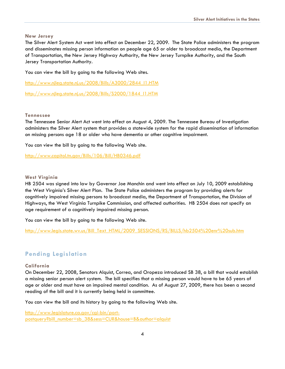#### **New Jersey**

The Silver Alert System Act went into effect on December 22, 2009. The State Police administers the program and disseminates missing person information on people age 65 or older to broadcast media, the Department of Transportation, the New Jersey Highway Authority, the New Jersey Turnpike Authority, and the South Jersey Transportation Authority.

You can view the bill by going to the following Web sites.

[http://www.njleg.state.nj.us/2008/Bills/A3000/2844\\_I1.HTM](http://www.njleg.state.nj.us/2008/Bills/A3000/2844_I1.HTM) 

[http://www.njleg.state.nj.us/2008/Bills/S2000/1844\\_I1.HTM](http://www.njleg.state.nj.us/2008/Bills/S2000/1844_I1.HTM)

#### **Tennessee**

The Tennessee Senior Alert Act went into effect on August 4, 2009. The Tennessee Bureau of Investigation administers the Silver Alert system that provides a statewide system for the rapid dissemination of information on missing persons age 18 or older who have dementia or other cognitive impairment.

You can view the bill by going to the following Web site.

<http://www.capitol.tn.gov/Bills/106/Bill/HB0346.pdf>

#### **West Virginia**

HB 2504 was signed into law by Governor Joe Manchin and went into effect on July 10, 2009 establishing the West Virginia's Silver Alert Plan. The State Police administers the program by providing alerts for cognitively impaired missing persons to broadcast media, the Department of Transportation, the Division of Highways, the West Virginia Turnpike Commission, and affected authorities. HB 2504 does not specify an age requirement of a cognitively impaired missing person.

You can view the bill by going to the following Web site.

[http://www.legis.state.wv.us/Bill\\_Text\\_HTML/2009\\_SESSIONS/RS/BILLS/hb2504%20enr%20sub.htm](http://www.legis.state.wv.us/Bill_Text_HTML/2009_SESSIONS/RS/BILLS/hb2504%20enr%20sub.htm)

#### **Pending Legislation**

#### **California**

On December 22, 2008, Senators Alquist, Correa, and Oropeza introduced SB 38, a bill that would establish a missing senior person alert system. The bill specifies that a missing person would have to be 65 years of age or older and must have an impaired mental condition. As of August 27, 2009, there has been a second reading of the bill and it is currently being held in committee.

You can view the bill and its history by going to the following Web site.

[http://www.legislature.ca.gov/cgi-bin/port](http://www.legislature.ca.gov/cgi-bin/port-postquery?bill_number=sb_38&sess=CUR&house=B&author=alquist)[postquery?bill\\_number=sb\\_38&sess=CUR&house=B&author=alquist](http://www.legislature.ca.gov/cgi-bin/port-postquery?bill_number=sb_38&sess=CUR&house=B&author=alquist)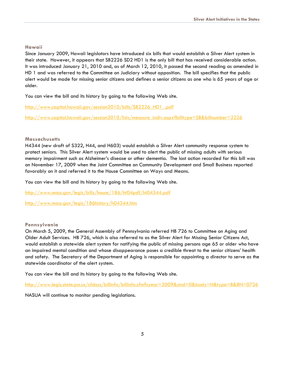#### **Hawaii**

Since January 2009, Hawaii legislators have introduced six bills that would establish a Silver Alert system in their state. However, it appears that SB2226 SD2 HD1 is the only bill that has received considerable action. It was introduced January 21, 2010 and, as of March 12, 2010, it passed the second reading as amended in HD 1 and was referred to the Committee on Judiciary without opposition. The bill specifies that the public alert would be made for missing senior citizens and defines a senior citizens as one who is 65 years of age or older.

You can view the bill and its history by going to the following Web site.

[http://www.capitol.hawaii.gov/session2010/bills/SB2226\\_HD1\\_.pdf](http://www.capitol.hawaii.gov/session2010/bills/SB2226_HD1_.pdf)

[http://www.capitol.hawaii.gov/session2010/lists/measure\\_indiv.aspx?billtype=SB&billnumber=2226](http://www.capitol.hawaii.gov/session2010/lists/measure_indiv.aspx?billtype=SB&billnumber=2226) 

#### **Massachusetts**

H4344 (new draft of S322, H44, and H603) would establish a Silver Alert community response system to protect seniors. This Silver Alert system would be used to alert the public of missing adults with serious memory impairment such as Alzheimer's disease or other dementia. The last action recorded for this bill was on November 17, 2009 when the Joint Committee on Community Development and Small Business reported favorably on it and referred it to the House Committee on Ways and Means.

You can view the bill and its history by going to the following Web site.

<http://www.mass.gov/legis/bills/house/186/ht04pdf/ht04344.pdf>

<http://www.mass.gov/legis/186history/h04344.htm>

#### **Pennsylvania**

On March 5, 2009, the General Assembly of Pennsylvania referred HB 726 to Committee on Aging and Older Adult Services. HB 726, which is also referred to as the Silver Alert for Missing Senior Citizens Act, would establish a statewide alert system for notifying the public of missing persons age 65 or older who have an impaired mental condition and whose disappearance poses a credible threat to the senior citizens' health and safety. The Secretary of the Department of Aging is responsible for appointing a director to serve as the statewide coordinator of the alert system.

You can view the bill and its history by going to the following Web site.

<http://www.legis.state.pa.us/cfdocs/billinfo/billinfo.cfm?syear=2009&sind=0&body=H&type=B&BN=0726>

NASUA will continue to monitor pending legislations.